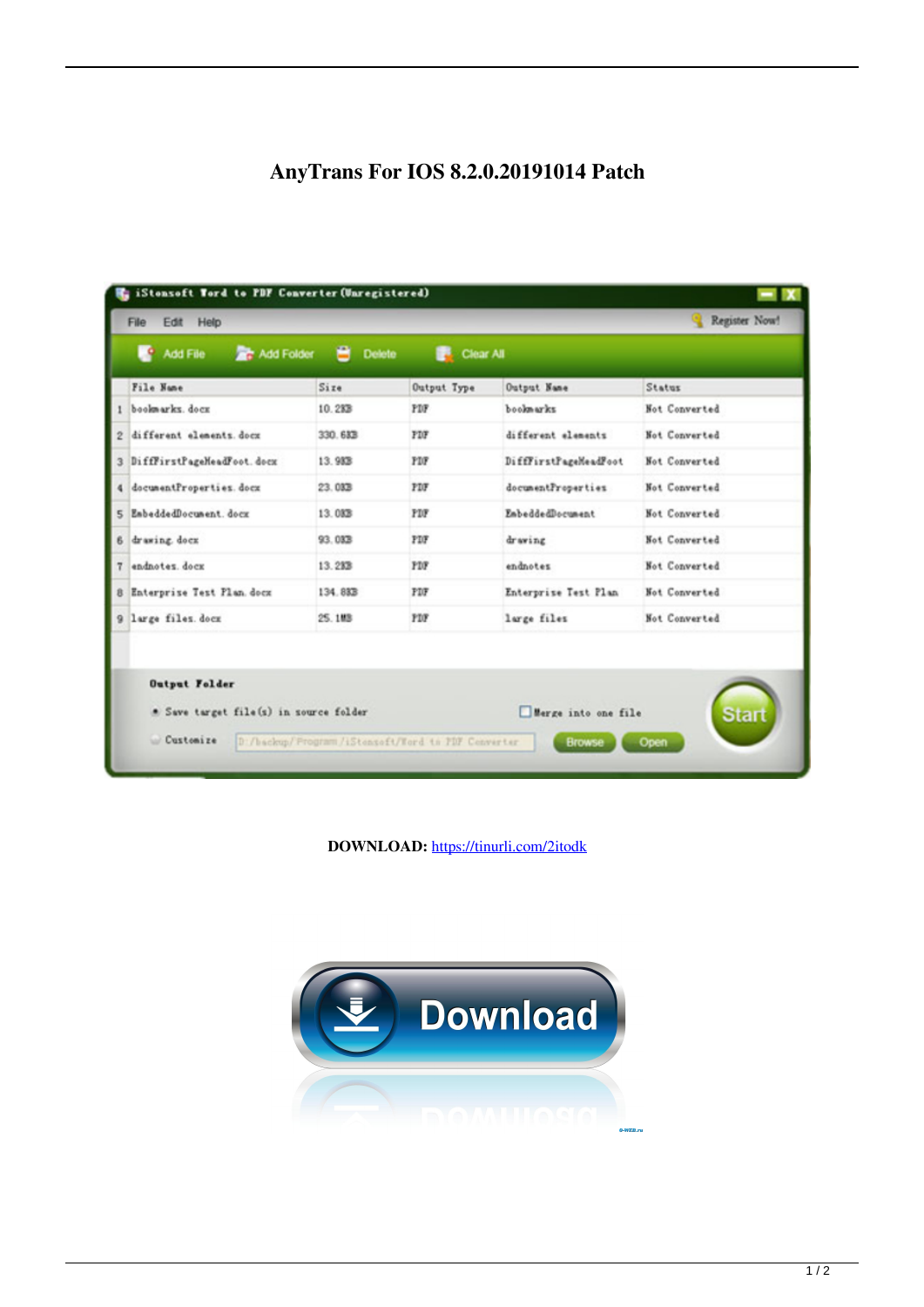## AnyTrans For IOS 8.2.0.20191014 Patch

| L۹<br>Add File                    | Add Folder                             | в<br><b>Delete</b>                                | Clear All   |                                      |                      |
|-----------------------------------|----------------------------------------|---------------------------------------------------|-------------|--------------------------------------|----------------------|
| File Name                         |                                        | Size                                              | Output Type | Output Name                          | Status               |
| bookwarks, dock                   |                                        | 10.283                                            | PDF         | bookmarks                            | Not Converted        |
| different elements. docx<br>2     |                                        | 330.683                                           | FDF         | different elements                   | Not Converted        |
| DifffirstPageMeadFoot.docx<br>3   |                                        | 13.983                                            | <b>FDF</b>  | DifffirstPageMeadFoot                | Not Converted        |
| 4 documentProperties.docx         |                                        | 23.033                                            | PDF         | documentProperties                   | Not Converted        |
| 5 EmbeddedDocument. docx          |                                        | 13.033                                            | <b>FDF</b>  | EmbeddedDocument                     | Not Converted        |
| 6 drawing dock                    |                                        | 93.033                                            | PDF         | drawing                              | Not Converted        |
| endnotes, dock                    |                                        | 13.233                                            | PDF         | endnotes                             | Not Converted        |
| 8 Enterprise Test Plan. docz      |                                        | 134.88B                                           | FDF         | Enterprise Test Plan                 | Not Converted        |
| 9 large files. docz               |                                        | 25.188                                            | PDF         | large files                          | Not Converted        |
| <b>Output Folder</b><br>Customize | * Save target file(s) in source folder | D:/backup/Frogram/iStenseft/Word to PDF Cenverter |             | Merge into one file<br><b>Browse</b> | <b>Start</b><br>Open |

DOWNLOAD: https://tinurli.com/2itodk